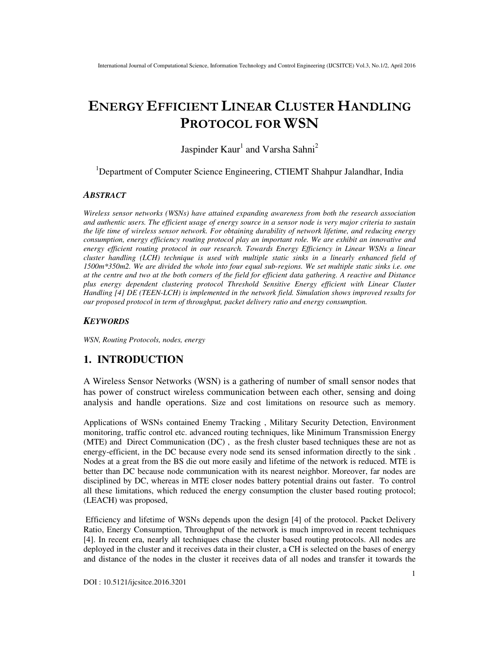# **ENERGY EFFICIENT LINEAR CLUSTER HANDLING PROTOCOL FOR WSN**

Jaspinder Kaur<sup>1</sup> and Varsha Sahni<sup>2</sup>

<sup>1</sup>Department of Computer Science Engineering, CTIEMT Shahpur Jalandhar, India

#### *ABSTRACT*

*Wireless sensor networks (WSNs) have attained expanding awareness from both the research association and authentic users. The efficient usage of energy source in a sensor node is very major criteria to sustain the life time of wireless sensor network. For obtaining durability of network lifetime, and reducing energy consumption, energy efficiency routing protocol play an important role. We are exhibit an innovative and energy efficient routing protocol in our research. Towards Energy Efficiency in Linear WSNs a linear cluster handling (LCH) technique is used with multiple static sinks in a linearly enhanced field of 1500m\*350m2. We are divided the whole into four equal sub-regions. We set multiple static sinks i.e. one at the centre and two at the both corners of the field for efficient data gathering. A reactive and Distance plus energy dependent clustering protocol Threshold Sensitive Energy efficient with Linear Cluster Handling [4] DE (TEEN-LCH) is implemented in the network field. Simulation shows improved results for our proposed protocol in term of throughput, packet delivery ratio and energy consumption.* 

#### *KEYWORDS*

*WSN, Routing Protocols, nodes, energy* 

# **1. INTRODUCTION**

A Wireless Sensor Networks (WSN) is a gathering of number of small sensor nodes that has power of construct wireless communication between each other, sensing and doing analysis and handle operations. Size and cost limitations on resource such as memory.

Applications of WSNs contained Enemy Tracking , Military Security Detection, Environment monitoring, traffic control etc. advanced routing techniques, like Minimum Transmission Energy (MTE) and Direct Communication (DC) , as the fresh cluster based techniques these are not as energy-efficient, in the DC because every node send its sensed information directly to the sink . Nodes at a great from the BS die out more easily and lifetime of the network is reduced. MTE is better than DC because node communication with its nearest neighbor. Moreover, far nodes are disciplined by DC, whereas in MTE closer nodes battery potential drains out faster. To control all these limitations, which reduced the energy consumption the cluster based routing protocol; (LEACH) was proposed,

 Efficiency and lifetime of WSNs depends upon the design [4] of the protocol. Packet Delivery Ratio, Energy Consumption, Throughput of the network is much improved in recent techniques [4]. In recent era, nearly all techniques chase the cluster based routing protocols. All nodes are deployed in the cluster and it receives data in their cluster, a CH is selected on the bases of energy and distance of the nodes in the cluster it receives data of all nodes and transfer it towards the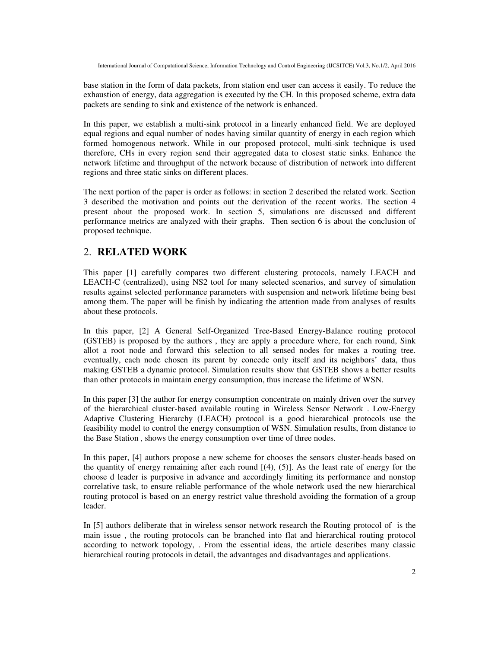base station in the form of data packets, from station end user can access it easily. To reduce the exhaustion of energy, data aggregation is executed by the CH. In this proposed scheme, extra data packets are sending to sink and existence of the network is enhanced.

In this paper, we establish a multi-sink protocol in a linearly enhanced field. We are deployed equal regions and equal number of nodes having similar quantity of energy in each region which formed homogenous network. While in our proposed protocol, multi-sink technique is used therefore, CHs in every region send their aggregated data to closest static sinks. Enhance the network lifetime and throughput of the network because of distribution of network into different regions and three static sinks on different places.

The next portion of the paper is order as follows: in section 2 described the related work. Section 3 described the motivation and points out the derivation of the recent works. The section 4 present about the proposed work. In section 5, simulations are discussed and different performance metrics are analyzed with their graphs. Then section 6 is about the conclusion of proposed technique.

# 2. **RELATED WORK**

This paper [1] carefully compares two different clustering protocols, namely LEACH and LEACH-C (centralized), using NS2 tool for many selected scenarios, and survey of simulation results against selected performance parameters with suspension and network lifetime being best among them. The paper will be finish by indicating the attention made from analyses of results about these protocols.

In this paper, [2] A General Self-Organized Tree-Based Energy-Balance routing protocol (GSTEB) is proposed by the authors , they are apply a procedure where, for each round, Sink allot a root node and forward this selection to all sensed nodes for makes a routing tree. eventually, each node chosen its parent by concede only itself and its neighbors' data, thus making GSTEB a dynamic protocol. Simulation results show that GSTEB shows a better results than other protocols in maintain energy consumption, thus increase the lifetime of WSN.

In this paper [3] the author for energy consumption concentrate on mainly driven over the survey of the hierarchical cluster-based available routing in Wireless Sensor Network . Low-Energy Adaptive Clustering Hierarchy (LEACH) protocol is a good hierarchical protocols use the feasibility model to control the energy consumption of WSN. Simulation results, from distance to the Base Station , shows the energy consumption over time of three nodes.

In this paper, [4] authors propose a new scheme for chooses the sensors cluster-heads based on the quantity of energy remaining after each round  $[(4), (5)]$ . As the least rate of energy for the choose d leader is purposive in advance and accordingly limiting its performance and nonstop correlative task, to ensure reliable performance of the whole network used the new hierarchical routing protocol is based on an energy restrict value threshold avoiding the formation of a group leader.

In [5] authors deliberate that in wireless sensor network research the Routing protocol of is the main issue , the routing protocols can be branched into flat and hierarchical routing protocol according to network topology, . From the essential ideas, the article describes many classic hierarchical routing protocols in detail, the advantages and disadvantages and applications.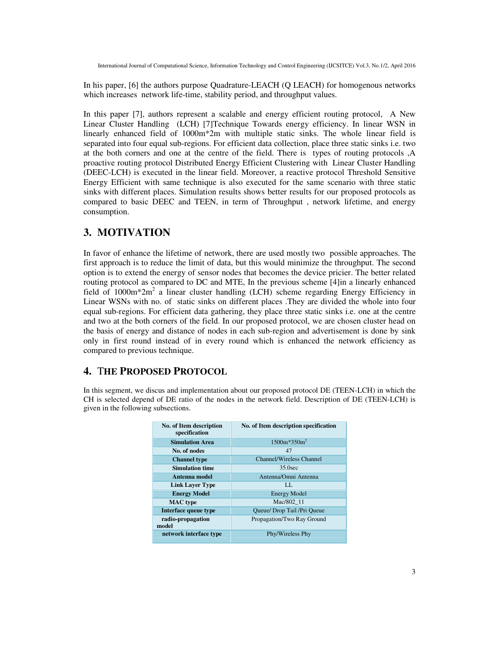In his paper, [6] the authors purpose Quadrature-LEACH (Q LEACH) for homogenous networks which increases network life-time, stability period, and throughput values.

In this paper [7], authors represent a scalable and energy efficient routing protocol, A New Linear Cluster Handling (LCH) [7]Technique Towards energy efficiency. In linear WSN in linearly enhanced field of 1000m\*2m with multiple static sinks. The whole linear field is separated into four equal sub-regions. For efficient data collection, place three static sinks i.e. two at the both corners and one at the centre of the field. There is types of routing protocols ,A proactive routing protocol Distributed Energy Efficient Clustering with Linear Cluster Handling (DEEC-LCH) is executed in the linear field. Moreover, a reactive protocol Threshold Sensitive Energy Efficient with same technique is also executed for the same scenario with three static sinks with different places. Simulation results shows better results for our proposed protocols as compared to basic DEEC and TEEN, in term of Throughput , network lifetime, and energy consumption.

# **3. MOTIVATION**

In favor of enhance the lifetime of network, there are used mostly two possible approaches. The first approach is to reduce the limit of data, but this would minimize the throughput. The second option is to extend the energy of sensor nodes that becomes the device pricier. The better related routing protocol as compared to DC and MTE, In the previous scheme [4]in a linearly enhanced field of 1000m\*2m<sup>2</sup> a linear cluster handling (LCH) scheme regarding Energy Efficiency in Linear WSNs with no. of static sinks on different places .They are divided the whole into four equal sub-regions. For efficient data gathering, they place three static sinks i.e. one at the centre and two at the both corners of the field. In our proposed protocol, we are chosen cluster head on the basis of energy and distance of nodes in each sub-region and advertisement is done by sink only in first round instead of in every round which is enhanced the network efficiency as compared to previous technique.

# **4.** T**HE PROPOSED PROTOCOL**

In this segment, we discus and implementation about our proposed protocol DE (TEEN-LCH) in which the CH is selected depend of DE ratio of the nodes in the network field. Description of DE (TEEN-LCH) is given in the following subsections.

| No. of Item description<br>specification | No. of Item description specification |  |  |  |
|------------------------------------------|---------------------------------------|--|--|--|
| <b>Simulation Area</b>                   | $1500m*350m2$                         |  |  |  |
| No. of nodes                             | 47                                    |  |  |  |
| <b>Channel type</b>                      | <b>Channel/Wireless Channel</b>       |  |  |  |
| <b>Simulation time</b>                   | $35.0$ sec                            |  |  |  |
| Antenna model                            | Antenna/Omni Antenna                  |  |  |  |
| Link Layer Type                          | LL.                                   |  |  |  |
| <b>Energy Model</b>                      | <b>Energy Model</b>                   |  |  |  |
| <b>MAC</b> type                          | Mac/802 11                            |  |  |  |
| Interface queue type                     | Queue/Drop Tail /Pri Queue            |  |  |  |
| radio-propagation<br>model               | Propagation/Two Ray Ground            |  |  |  |
| network interface type                   | Phy/Wireless Phy                      |  |  |  |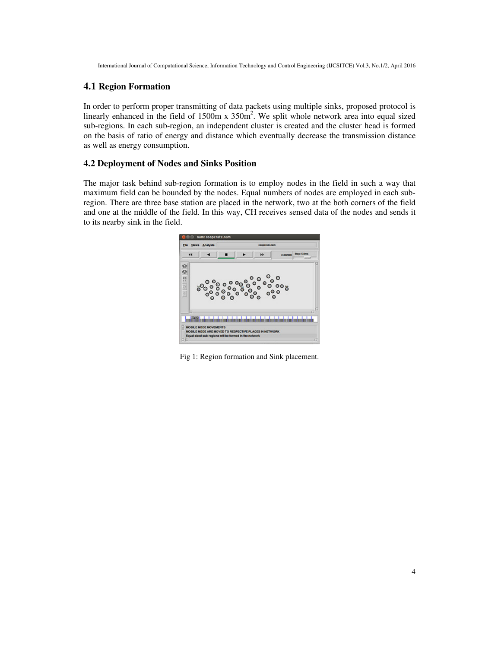#### **4.1 Region Formation**

In order to perform proper transmitting of data packets using multiple sinks, proposed protocol is linearly enhanced in the field of  $1500m \times 350m^2$ . We split whole network area into equal sized sub-regions. In each sub-region, an independent cluster is created and the cluster head is formed on the basis of ratio of energy and distance which eventually decrease the transmission distance as well as energy consumption.

#### **4.2 Deployment of Nodes and Sinks Position**

The major task behind sub-region formation is to employ nodes in the field in such a way that maximum field can be bounded by the nodes. Equal numbers of nodes are employed in each subregion. There are three base station are placed in the network, two at the both corners of the field and one at the middle of the field. In this way, CH receives sensed data of the nodes and sends it to its nearby sink in the field.



Fig 1: Region formation and Sink placement.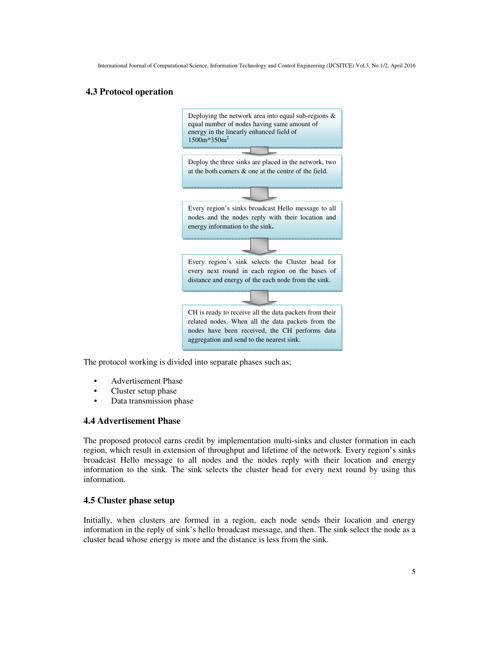## **4.3 Protocol operation**



The protocol working is divided into separate phases such as;

- Advertisement Phase
- Cluster setup phase
- Data transmission phase

## **4.4 Advertisement Phase**

The proposed protocol earns credit by implementation multi-sinks and cluster formation in each region, which result in extension of throughput and lifetime of the network. Every region's sinks broadcast Hello message to all nodes and the nodes reply with their location and energy information to the sink. The sink selects the cluster head for every next round by using this information.

## **4.5 Cluster phase setup**

Initially, when clusters are formed in a region, each node sends their location and energy information in the reply of sink's hello broadcast message, and then. The sink select the node as a cluster head whose energy is more and the distance is less from the sink.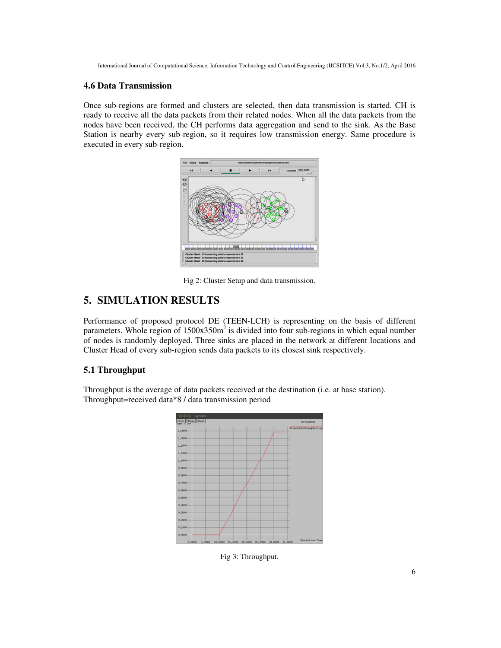## **4.6 Data Transmission**

Once sub-regions are formed and clusters are selected, then data transmission is started. CH is ready to receive all the data packets from their related nodes. When all the data packets from the nodes have been received, the CH performs data aggregation and send to the sink. As the Base Station is nearby every sub-region, so it requires low transmission energy. Same procedure is executed in every sub-region.



Fig 2: Cluster Setup and data transmission.

# **5. SIMULATION RESULTS**

Performance of proposed protocol DE (TEEN-LCH) is representing on the basis of different parameters. Whole region of  $1500x350m^2$  is divided into four sub-regions in which equal number of nodes is randomly deployed. Three sinks are placed in the network at different locations and Cluster Head of every sub-region sends data packets to its closest sink respectively.

## **5.1 Throughput**

Throughput is the average of data packets received at the destination (i.e. at base station). Throughput=received data\*8 / data transmission period



Fig 3: Throughput.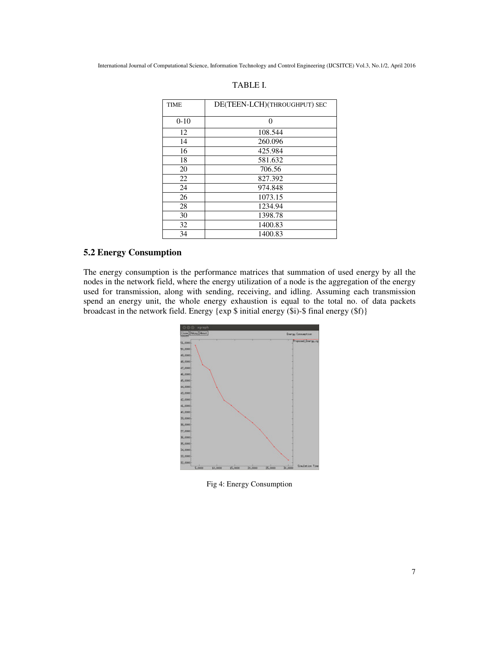| <b>TIME</b> | DE(TEEN-LCH)(THROUGHPUT) SEC |  |  |
|-------------|------------------------------|--|--|
|             |                              |  |  |
| $0-10$      | $\theta$                     |  |  |
| 12          | 108.544                      |  |  |
| 14          | 260.096                      |  |  |
| 16          | 425.984                      |  |  |
| 18          | 581.632                      |  |  |
| 20          | 706.56                       |  |  |
| 22          | 827.392                      |  |  |
| 24          | 974.848                      |  |  |
| 26          | 1073.15                      |  |  |
| 28          | 1234.94                      |  |  |
| 30          | 1398.78                      |  |  |
| 32          | 1400.83                      |  |  |
| 34          | 1400.83                      |  |  |

#### TABLE I.

# **5.2 Energy Consumption**

The energy consumption is the performance matrices that summation of used energy by all the nodes in the network field, where the energy utilization of a node is the aggregation of the energy used for transmission, along with sending, receiving, and idling. Assuming each transmission spend an energy unit, the whole energy exhaustion is equal to the total no. of data packets broadcast in the network field. Energy {exp \$ initial energy (\$i)-\$ final energy (\$f)}



Fig 4: Energy Consumption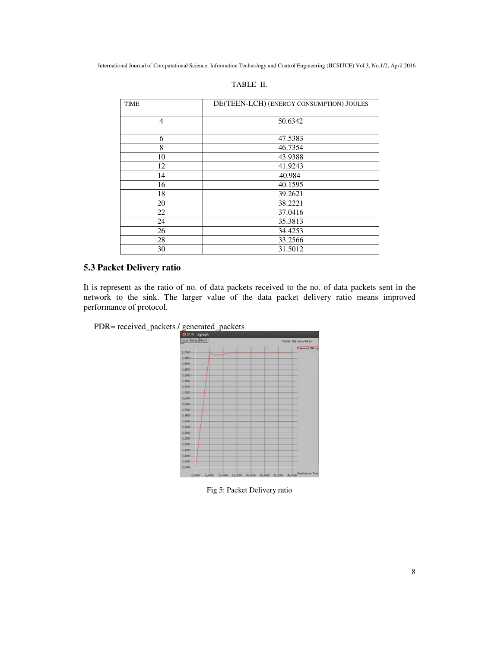| <b>TIME</b> | DE(TEEN-LCH) (ENERGY CONSUMPTION) JOULES |  |  |  |
|-------------|------------------------------------------|--|--|--|
| 4           | 50.6342                                  |  |  |  |
| 6           | 47.5383                                  |  |  |  |
| 8           | 46.7354                                  |  |  |  |
| 10          | 43.9388                                  |  |  |  |
| 12          | 41.9243                                  |  |  |  |
| 14          | 40.984                                   |  |  |  |
| 16          | 40.1595                                  |  |  |  |
| 18          | 39.2621                                  |  |  |  |
| 20          | 38.2221                                  |  |  |  |
| 22          | 37.0416                                  |  |  |  |
| 24          | 35.3813                                  |  |  |  |
| 26          | 34.4253                                  |  |  |  |
| 28          | 33.2566                                  |  |  |  |
| 30          | 31.5012                                  |  |  |  |

#### TABLE II.

## **5.3 Packet Delivery ratio**

It is represent as the ratio of no. of data packets received to the no. of data packets sent in the network to the sink. The larger value of the data packet delivery ratio means improved performance of protocol.



PDR= received\_packets / generated\_packets <br>  $\frac{600 \text{ N} \cdot \text{M}}{500 \text{ N} \cdot \text{M} \cdot \text{M}}$ 

Fig 5: Packet Delivery ratio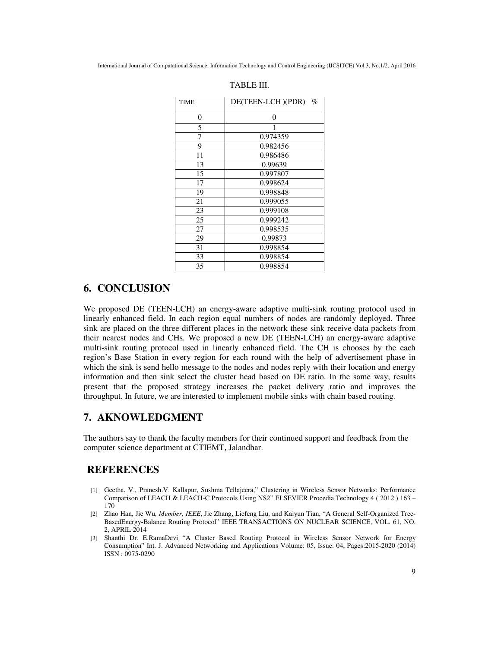| <b>TIME</b> | DE(TEEN-LCH)(PDR)<br>$\%$ |  |  |  |
|-------------|---------------------------|--|--|--|
| 0           | 0                         |  |  |  |
| 5           |                           |  |  |  |
| 7           | 0.974359                  |  |  |  |
| 9           | 0.982456                  |  |  |  |
| 11          | 0.986486                  |  |  |  |
| 13          | 0.99639                   |  |  |  |
| 15          | 0.997807                  |  |  |  |
| 17          | 0.998624                  |  |  |  |
| 19          | 0.998848                  |  |  |  |
| 21          | 0.999055                  |  |  |  |
| 23          | 0.999108                  |  |  |  |
| 25          | 0.999242                  |  |  |  |
| 27          | 0.998535                  |  |  |  |
| 29          | 0.99873                   |  |  |  |
| 31          | 0.998854                  |  |  |  |
| 33          | 0.998854                  |  |  |  |
| 35          | 0.998854                  |  |  |  |

| FABLE III. |  |
|------------|--|
|            |  |

# **6. CONCLUSION**

We proposed DE (TEEN-LCH) an energy-aware adaptive multi-sink routing protocol used in linearly enhanced field. In each region equal numbers of nodes are randomly deployed. Three sink are placed on the three different places in the network these sink receive data packets from their nearest nodes and CHs. We proposed a new DE (TEEN-LCH) an energy-aware adaptive multi-sink routing protocol used in linearly enhanced field. The CH is chooses by the each region's Base Station in every region for each round with the help of advertisement phase in which the sink is send hello message to the nodes and nodes reply with their location and energy information and then sink select the cluster head based on DE ratio. In the same way, results present that the proposed strategy increases the packet delivery ratio and improves the throughput. In future, we are interested to implement mobile sinks with chain based routing.

## **7. AKNOWLEDGMENT**

The authors say to thank the faculty members for their continued support and feedback from the computer science department at CTIEMT, Jalandhar.

# **REFERENCES**

- [1] Geetha. V., Pranesh.V. Kallapur, Sushma Tellajeera," Clustering in Wireless Sensor Networks: Performance Comparison of LEACH & LEACH-C Protocols Using NS2" ELSEVIER Procedia Technology 4 ( 2012 ) 163 – 170
- [2] Zhao Han, Jie Wu*, Member, IEEE*, Jie Zhang, Liefeng Liu, and Kaiyun Tian, "A General Self-Organized Tree-BasedEnergy-Balance Routing Protocol" IEEE TRANSACTIONS ON NUCLEAR SCIENCE, VOL. 61, NO. 2, APRIL 2014
- [3] Shanthi Dr. E.RamaDevi "A Cluster Based Routing Protocol in Wireless Sensor Network for Energy Consumption" Int. J. Advanced Networking and Applications Volume: 05, Issue: 04, Pages:2015-2020 (2014) ISSN : 0975-0290